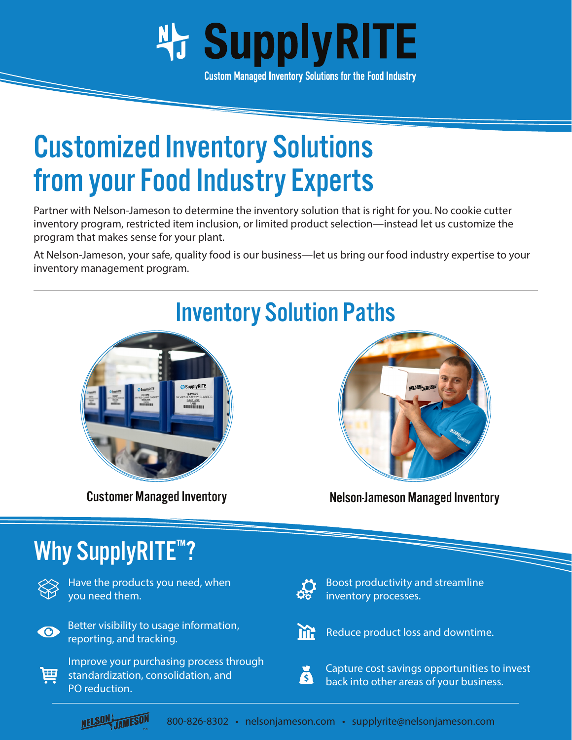

**Custom Managed Inventory Solutions for the Food Industry** 

## Customized Inventory Solutions from your Food Industry Experts

Partner with Nelson-Jameson to determine the inventory solution that is right for you. No cookie cutter inventory program, restricted item inclusion, or limited product selection—instead let us customize the program that makes sense for your plant.

At Nelson-Jameson, your safe, quality food is our business—let us bring our food industry expertise to your inventory management program.



## Why SupplyRITE<sup>™?</sup>

Have the products you need, when you need them.



Better visibility to usage information, reporting, and tracking.



Improve your purchasing process through standardization, consolidation, and PO reduction.



Boost productivity and streamline inventory processes.



Reduce product loss and downtime.



Capture cost savings opportunities to invest back into other areas of your business.